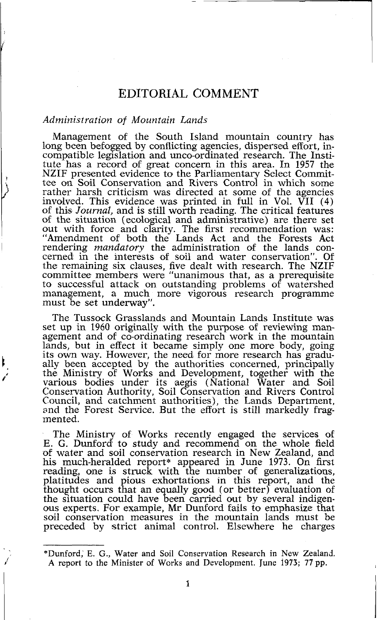# EDITORIAL, COMMENT

## *Administration of Mountain Lands*

Management of the South Island mountain country has long been befogged by conflicting agencies, dispersed effort, incompatible legislation and unco-ordinated research. The Institute has a record of great concern in this area. In 1957 the NZIF presented evidence to the Parliamentary Select Committee on Soil Conservation and Rivers Control in which some rather harsh criticism was directed at some of the agencies involved. This evidence was printed in full in Vol. VII (4) of this Journal, and is still worth reading. The critical features of this *Journal*, and is still worth reading. The critical features of the situation (ecological and administrative) are there set out with force and clarity. The first recommendation was: "Amendment of bolth the Lands Act and the Forests Act rendering *mandatory* the administration of the lands concerned in the interests of soil and water conservation". Of the remaining six clauses, five dealt with research. The NZIF committee members were "unanimous that, as a prerequisite to successful attack on outstanding problems of watershed management, a much more vigorous research programme must be set underway".

The Tussock Grasslands and Mountain Lands Institute was set up in 1960 originally with the purpose of reviewing management and of co-ordinating research work in the mountain lands, but in effect it became simply one more body, going its own way. However, the need for more research has gradu-<br>ally been accepted by the authorities concerned, principally the Ministry of Works and Development, together with the various bodies under its aegis (National Water and Soil Conservation Authority, Soil Conservation and Rivers Control Council, and catchment authorities), the Lands Department, and the Forest Service. But the effort is still markedly frag- mented.

The Ministry of Works recently engaged the services of E. G. Dunford to study and recommend on the whole field of water and soil conservation research in New Zealand, and his much-heralded report\* appeared in June 1973. On first reading, one is struck with the number of generalizations, platitudes and pious exhortations In this report, and the thought occurs that an equally good (or better) evaluation of the situation could have been carried out by several indigenous experts. For example, Mr Dunford fails to emphasize that soil conservation measures in the mountain lands must be preceded by strict animal control. Elsewhere he charges

<sup>&</sup>quot;Dunford, E. G., Water and Soil Conservation Research in New Zealand **A** report to the Minister of Works and Development. June 1973; 77 pp.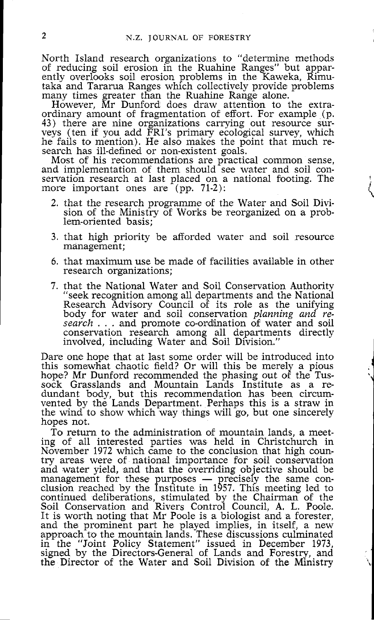North Island research organizations to "determine methods of reducing soil erosion in the Ruahine Ranges" but apparently overlooks soil erosion problems in the Kaweka, Rimu-<br>taka and Tararua Ranges which collectively provide problems taka and Tararua Ranges whlch collectively provide problems many times greater than the Ruahine Range alone.

However, Mr Dunford does draw attention to the extraordinary amount of fragmentation of effort. For example (p. 43) there are nine organizations carrying out resource surveys (ten if you add FRI's primary ecological survey, which he fails to mention). He also makes the point that much research has ill-defined or non-existent goals.

Most of his recommendations are practical common sense, and implementation of them should see water and soil conservation research at last placed on a national footing. The more important ones are  $(pp. 71-2)$ :

- 2. that the research programme of the Water and Soil Division of the Ministry of Works be reorganized on a prob- lem-oriented basis;
- 3. that high priority be afforded water and soil resource management;
- 6. that maximum use be made of facilities available in other research organizations;
- 7. that the National Water and Soil Conservation Authority "seek recognition among all departments and the National Research Advisory Council of its role as the unifying body for water and soil conservation *planning and* re*search* . . . and promote co-ordination of water and soil conservation research among all departments directly involved, including Water and Soil Division."

Dare one hope that at last some order will be introduced into this somewhat chaotic field? Or will this be merely a pious hope? Mr Dunford recommended the phasing out **o\$** the Tussock Grasslands and Mountain Lands Institute as a redundant body, but this recommendation has been circumvented by the Lands Department. Perhaps this is a straw in the wind to show which way things will go, but one sincerely hopes not.

**I**  'l

To return to the administration of mountain lands, a meeting of all interested parties was held in Christchurch in November 1972 which came to the conclusion that high country areas were of national importance for soil conservation and water yield, and that the overriding objective should be many areas were of national importance for soil conservation<br>and water yield, and that the overriding objective should be<br>management for these purposes — precisely the same con-<br>clusion reached by the Institute in 1957. Th continued deliberations, stimulated by the Chairman of the Soil Conservation and Rivers Control Council, A. L. Poole. It is worth noting that Mr Poole is a biologist and a forester, and the prominent part he played implies, in itself, a new approach to the mountain lands. These discussions culminated in the "Joint Policy Statement" issued in December 1973, signed by the Directors-General of Lands and Forestry, and the Director of the Water and Soil Division of the Ministry  $\sim$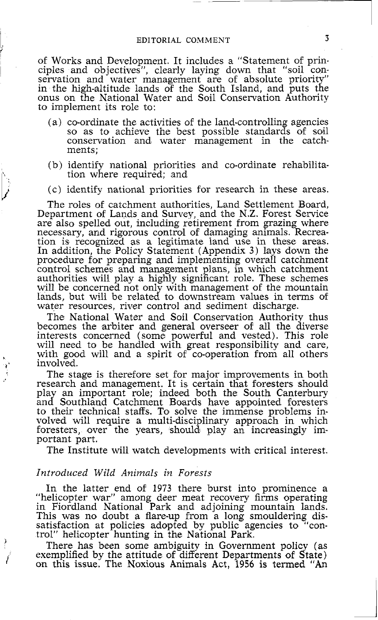of Works and Development. It includes a "Statement of principles and objectives", clearly laying down that "soil conservation and water management are of absolute priority" in the high-altitude lands of the South Island, and puts the onus on the National Water and Soil Conservation Authority to implement its role to:

- (a) co-ordinate the activities of the land-controlling agencies so as to achieve the best possible standards of soil conservation and water management in the catchments;
- (b) identify national priorities and co-ordinate rehabilitation where required; and
- (c) identify national priorities for research in these areas.

The roles of catchment authorities, Land Settlement Board, Department of Lands and Survey, and the N.Z. Forest Service are also spelled out, including retirement from grazing where necessary, and rigorous control of damaging animals. Recreation is recognized as a legitimate iand use in these areas. In addition, the Policy Statement (Appendix 3) lays down the procedure for preparing and implementing overall catchment control schemes and management plans, in which catchment authorities will play **a** highly signiicant role. These schemes will be concerned not only with management of the mountain lands, but will be related to downstream values in terms of water resources, river control and sediment discharge.

The National Water and Soil Conservation Authority thus becomes the arbiter and general overseer of all the diverse interests concerned (some powerful and vested). This role will need to be handled with great responsibility and care, with good will and a spirit of co-operation from all others **<sup>t</sup>**' involved.

The stage is therefore set for major improvements in both research and management. It is certain that forssters should play an important role; indeed both the South Canterbury and Southland Catchment Boards have appointed foresters to their technical staffs. **To** solve the immense problems in- volved will require a multi-disci linary approach in which volved will require a multi-disciplinary approach in which foresters, over the years, should play an increasingly important part.

The Institute will watch developments with critical interest.

#### *Introduced Wild Animals in Forests*

In the latter end of 1973 there burst into prominence a "helicopter war" among deer meat recovery firms operating<br>in Fiordland National Park and adjoining mountain lands.<br>This was no doubt a flare-up from a long smouldering dis-<br>satisfaction at policies adopted by public agenci

trol" helicopter hunting in the National Park.<br>There has been some ambiguity in Government policy (as<br>exemplified by the attitude of different Departments of State)<br>on this issue. The Noxious Animals Act, 1956 is termed "A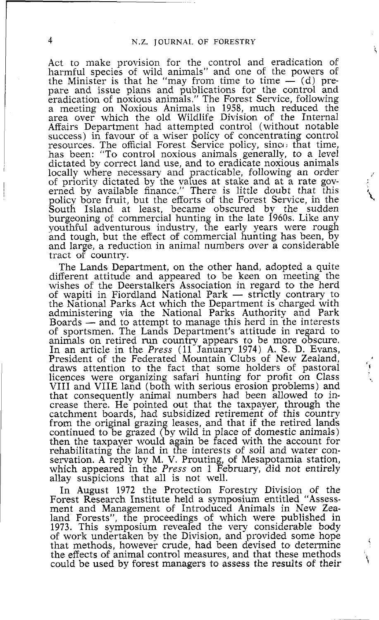Act to make provision for the control and eradication of harmful species of wild animals" and one of the powers of Act to make provision for the control and eradication of narmful species of wild animals" and one of the powers of the Minister is that he "may from time to time  $-$  (d) prepare and issue plans and publicattons for the control and eradication of noxious animals," The Forest Service, following a meeting on Noxious Animals in 1958, much reduced the area over which the old Wildlife Division of the Internal Affairs Department had attempted control (without notable success) in favour of a wiser policy of concentrating control resources. The official Forest Service policy, sincc, that time, has been: "To control noxious animals generally, to a level dictated by correct land use, and to eradicate noxious animals locally where necessary and practicable, following an order of priority dictated by the values at stake and at a rate gov erned by available finance." There is little doubt that this policy bore fruit, but the efforts of the Forest Service, in the South Island at least, became obscured by the sudden burgeoning of commercial hunting in the late 1960s. Like any youthful adventurous industry, the early years were rough and tough, but the effect of commercial hunting has been, by and large, a reduction in animal numbers o tract of country.

> The Lands Department, on the other hand, adopted a quite<br>different attitude and appeared to be keen on meeting the<br>wishes of the Deerstalkers Association in regard to the herd<br>of wapiti in Fiordland National Park — strictl of which all Parks Act which the Department is charged with<br>administering via the National Parks Authority and Park<br>Boards — and to attempt to manage this herd in the interests<br>of sportsmen. The Lands Department's attitude animals on retired run country appears to be more obscure. In an article in the *Press* ( 11 January 1974) A. S. D. Evans, President of the Federated Mountain Clubs of New Zealand, draws attention to the fact that some holders of pastoral licences were organizing safari hunting for profit on Class licences were organizing safari hunting for profit on Class<br>VIII and VIIE land (both with serious erosion problems) and that consequently animal numbers had been allowed to increase there. He pointed out that the taxpayer, through the catchment boards, had subsidized retirement of this country from the original grazing leases, and that if the retired landis continued to be grazed (by wild in place of domestic animals) then the taxpayer would again be faced with the account for rehabilitating the land in the interests of soil and water conservation. A reply by M. V. Prouting, of Mesapotamia station, which appeared in the *Press* on 1 February, did not entirely allay suspicions that all is not well.

> In August 1972 the Protection Forestry Division of the Forest Research Institute held a symposium entitled "Assessment and Management of Introduced Animals in New Zealand Forests", the proceedings of which were published in 1973. This symposium revealed the very considerable body of work undertaken by the Division, and provided some hope that methods, however crude, had been devised to determine the effects **of** animal control measures, and that these methods could be used by forest managers to assess the results of their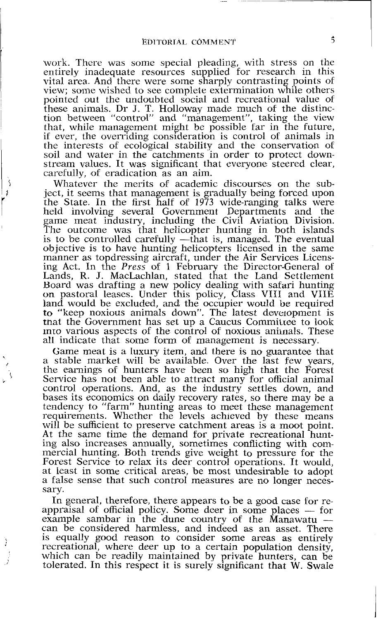work. There was some special pleading, with stress on the entirely inadequate resources supplied for research in this vital area. And there were some sharply contrasting points of view; some wished to see complete extermination while others pointed out the undoubted social and recreational value of these animals. Dr J. T. Holloway made much of the distinction between "control" and "management", taking the view that, while management might be possible far in the future, if ever, the overriding consideration is control of animals in the interests of ecological stability and the conservation of soil and water in the catchments in order to protect downstream values. It was significant that everyone steered clear, carefully, of eradication as an aim.

Whatever the merits of academic discourses on the subject, it seems that management is gradually being forced upon 'the State. In the first half of 1973 wide-ranging talks were held involving several Government Departments and the game meat industry, including the Civil Aviation Division. The outcome was that helicopter hunting in both islands is to be controlled carefully —that is, managed. The eventual objective is to have hunting helicopters licensed in the same manner as topdressing aircraft, under the Air Services Licensing Act. In the *Press* of 1 February the Director-General of Lands, R. J. MacLachlan, stated that the Land Settlement Board was drafting a new policy dealing with safari hunting on pastoral leases. Under this policy, Class VIII and VIIE land would be excluded, and the occupier would be required to "keep noxious animals down". The latest devempment is that the Government has set up a Caucus Committee to look mro various aspects of the control of noxious animals. These all indicate that some form of management is necessary.

Game meat is a luxury item, and there is no guarantee that a stable market will be available. Over the last few years, a stable market will be available. Over the last few years, the earnings of hunters have been so high that the Forest Service has not been able to attract many for official animal control operations. And, as the industry settles down, and bases its economics on daily recovery rates, so there may be a tendency to "farm" hunting areas to meet these management requirements. Whether the levels achleved by these means will be sufficient to preserve catchment areas is a moot point. At the same time the demand for private recreational hunting also increases annually, sometimes conflicting with commercial hunting. Both trends give weight to pressure for the Forest Service to relax its deer control operations. It would, at least in some critical areas, be most undesirable to adopt a false sense that such control measures are no longer necessary.

In general, therefore, there appears to be a good case for resary.<br>In general, therefore, there appears to be a good case for re-<br>appraisal of official policy. Some deer in some places — for<br>example sambar in the dune country of the Manawatu In general, therefore, there appears to be a good case for reappraisal of official policy. Some deer in some places — for example sambar in the dune country of the Manawatu — can be considered harmless, and indeed as an as can be considered harmless, and indeed as an asset. There is equally good reason to consider some areas as entirely recreational, where deer up to a certain population density, which can be readily maintained by private hunters, can be tolerated. In this regpact it is surely significant that **W.** Swale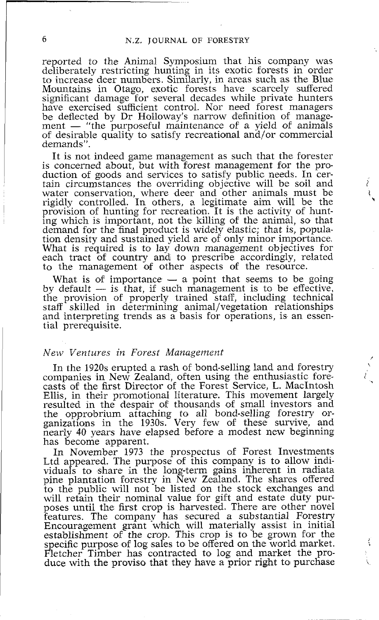reported to the Animal Symposium that his company was deliberately restricting hunting in its exotic forests in order to increase deer numbers. Similarly, in areas such as the Blue Mountains in Otago, exotic forests have scarcely suffered significant damage for several decades while private hunters ment dance the control. Nor need forest managers<br>have exercised sufficient control. Nor need forest managers<br>ment — "the purposeful maintenance of a yield of animals<br>of desirable quality to satisfy recreational and/or comm ment — "the purposeful maintenance of a yield of animals of desirable quality to satisfy recreational and/or commercial demands".

It is not indeed game management as such that the forester is concerned about, but with forest management for the production of goods and services to satisfy public needs. In certain circumstances the overriding objective will be soil and intervals water conservation, where deer and other animals must be rigidly controlled. In others, a legitimate aim will be the **<sup>h</sup>** provision of hunting for recreation. It is the activity of hunting which is important, not the killing of the animal, so that demand for the final product is widely elastic; that is, population density and sustained yield are of only minor importance. What is required is to lay down management objectives for each tract of country and to prescribe accordingly, related to the management of other aspects of the resource.<br>What is of importance  $-$  a point that seems to be going thy default  $-$  is that if such management is to be to the management of other aspects of the resource.

to the management of other aspects of the resource.<br>
What is of importance — a point that seems to be going<br>
by default — is that, if such management is to be effective,<br>
the provision of properly trained staff, including staff skilled in determining animal/vegetation relationships and interpreting trends as a basis for operations, is an essential prerequisite.

#### I *New Ventures in Forest Management*

In the 1920s erupted a rash of bond-selling land and forestry companies in New Zealand, often using the enthusiastic fore- t casts of the first Director of the Forest Service, L. Macintosh Ellis, in their promotional literature. This movement largely resulted in the despair of thousands of small investors and the opprobrium attaching to all bond-selling forestry or- ganizations in the 1930s. Very few of these survive, and nearly 40 years have elapsed before a modest new beginning has become apparent.

In November 1973 the prospectus of Forest Investments Ltd appeared. The purpose of this company is to allow individuals to share in the long-term gains inherent in radiata pine plantation forestry in New Zealand. The shares offered to the public will not be listed on the stock exchanges and will retain their nominal value for gift and estate duty purposes until the first crop is harvested. There are other novel features. The company has secured a substantial Forestry Encouragement grant which will materially assist in initial establishment of the crop. This crop is to be grown for the specific purpose of log sales to be offered on the world market. Fletcher Timber has contracted to log and market the produce with the proviso that they have a prior right to purchase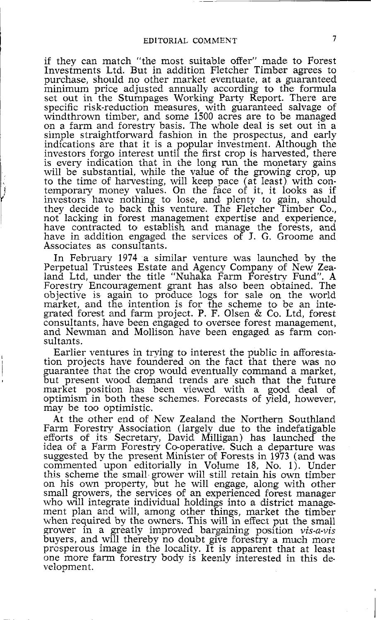if they can match "the most suitable offer" made to Forest Investments Ltd. But in addition Fletcher Timber agrees to purchase, should no other market eventuate, at a guaranteed minimum price adjusted annually according to the formula set out in the Stumpages Working Party Report. There are specific risk-reduction measures, with guaranteed salvage of windthrown timber, and some 1500 acres are to be managed on a farm and forestry basis. The whole deal is set out in a simple straightforward fashion in the prospectus, and early simple straightforward fashion in the prospectus, and early indications are that it is a popular investment. Although the investors forgo interest until the first crop is harvested, there is every indication that in the long run the monetary gains will be substantial, while the value of the growing crop, up to the time of harvesting, will keep pace (at least) with contemporary money values. On the face of jt, it looks as if investors have nothing to lose, and plenty to gain, should they decide to back this venture. The Fletcher Timber Co., not lacking in forest management expertise and experience, have contracted to establish and manage the forests, and have in addition engaged the services of J. *G.* Groome and Associates as consultants.

In February 1974 a similar venture was launched by the Perpetual Trustees Estate and Agency Company of New Zealand Ltd, under the title "Nuhaka Farm Forestry Fund". A Forestry Encouragement grant has also been obtained. The objective is again to produce logs for sale on the world market, and the intention is for the scheme to be an integrated foreslt and farm project. P. F. Olsen & Co. Ltd, forest consultants, have been engaged to oversee forest management, and Newnian and Mollison have been engaged as farm consultants.

Earlier ventures in trying to interest the public in afforestation projects have foundered on the fact that there was no guarantee that the crop would eventually command a market, but present wood demand trends are such that the future market position has been viewed with a good deal of optimism in both these schemes. Forecasts of yield, however, may be too optimistic.

At the other end of New Zealand the Northern Southland Farm Forestry Association (largely due to the indefatigable efforts of its Secretary, David Milligan) has launched the idea of a Farm Forestry Co-operative. Such a departure was suggested by the present Minister of Forests in 1973 (and was commented upon editorially in VoIume 18, No. 1). Under this scheme the small grower will still retain his own timber on his own property, but he will engage, along with other who will integrate individual holdings into a district management plan and will, among other things, market the timber when required by the owners. This will in effect put the small grower in a greatly improved bargaining position  $vis-a-vis$ buyers, and will thereby no doubt give forestry a much more prosperous image in the locality. It is apparent that at least one more farm forestry body is keenly interested in this development.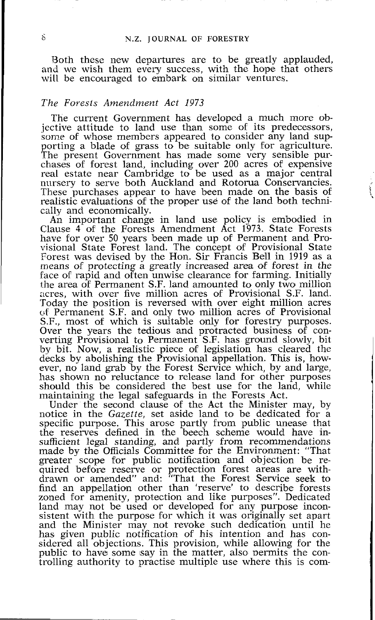Both these new departures are to be greatly applauded, and we wish them every success, with the hope that others will be encouraged to embark on similar ventures.

# The Forests Amendment Act 1973

The current Government has developed a much more objective attitude to land use than some of its predecessors, some of whose members appeared to consider any land supporting a blade of grass to be suitable only for agriculture.<br>The present Government has made some very sensible purchases of forest land, including over 200 acres of expensive real estate near Cambridge to be used as a major central nursery to serve both Auckland and Rotorua Conservancies. These purchases appear to have been made on the basis of realistic evaluations of the proper use of the land both technically and economically.

An important change in land use policy is embodied in Clause 4 of the Forests Amendment Act 1973. State Forests have for over 50 years been made up of Permanent and Provisional State Forest land. The concept of Provisional State Forest was devised by the Hon. Sir Francis Bell in 1919 as a means of protecting a greatly increased area of forest in the face of rapid and often unwise clearance for farming. Initially rhe area of Permanent S.F. land amounted to only two million acres, with over five million acres **of** Provisional S.F. land. 'Today the position is reversed with over eight million acres c,f Permanent S.F. and only two million acres of Provisional S.F., most of which is suitable only for forestry purposes. Over the years the tedious and protracted business of converting Provisional to Permanent S.F. has ground slowly, bit by bit. Now, a realistic piece of legislation has cleared the decks by abolishing the Provisional appellation. This is, however, no land grab by the Forest Service which, by and large, has shown no reluctance to release land for other purposes should this be considered the best use for the land, while maintaining the legal safeguards in the Forests Act.

Under the second clause of the Act the Minister may, by notice in the Gazette, set aside land to be dedicated for a specific purpose. This arose partly from public unease that the reserves defined in the beech scheme would have insufficient legal standing, and partly from recommendations made by the Officials Committee for the Environment: "That greater scope for public notification and objection be required before reserve or protection forest areas are withdrawn or amended" and: "That the Forest Service seek to find an appellation other than 'reserve' to describe forests zoned for amenity, protection and like purposes". Dedicated land may not be used or developed for any purpose inconsistent with the purpose for which it was originally set apart and the Minister may not revoke such dedication until he has given public notification of his intention and has considered all objections. This provision, while allowing for the public to have some say in the matter, also permits the controlling authority to practise multiple use where this is com-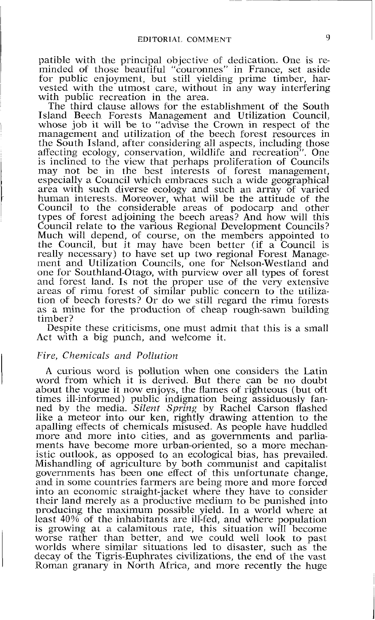*patible with the principal objective* of *dedication. One is reminded of those beautiful "couronnes" in France, set aside for public enjoyment, but still yielding prime timber, harvested with the utmost care, without in any way interfering with public recreation in the area.* 

*The third clause allows for the establishment of the South Island Beech Forests Management and Utilization Council, whose job it will be to "advise the Crown in respect* of *the management and utilization of the beech forest resources in the South Island, after considering all aspects, including those affecting ecology, conservation, wildlife and recreation". One is inclined to the view that perhaps proliferation of Councils*  may not be in the best interests of forest management, especially a Council which embraces such a wide geographical area with such diverse ecology and such an array of varied *human interests. Moreover, what will be the attitude of the Council to the considerable areas of podocarp and other types of forest adjoining the beech areas? And how will this Council relate to the various Regional Development Councils? Much will depend,* of *course, on the members appointed to the Council, but it may have been better (if a Council is really necessary) to have set up two regional Forest Manage*ment and Utilization Councils, one for Nelson-Westland and *one for Southland-Otago, with purview over all types of forest*  and forest land. Is not the proper use of the very extensive *areas of rimu forest of similar public concern to the utilization of beech forests? Or do we still regard the rimu forests as a mine for the production of cheap rough-sawn building timber?* 

*Despite these criticisms, one must admit that this is a small Act with a big punch, and welcome it.* 

#### *Five, Chemicals and Pollution*

*A curious word is pollution when one considers the Latin*  word from which it is derived. But there can be no doubt *about the vogue it now enjoys, the flames of righteous (but oft times ill-informed) public indignation being assiduously fanned by the media. Silent Spring by Rachel Carson flashed like a meteor into our ken, rightly drawing attention to the apalling effects of chemicals misused. As people have huddled more and more into cities, and as governments and parliaments have become more urban-oriented, so a more mechanistic outlook, as opposed to an ecological bias, has prevailed. Mishandling of agriculture by both communist and capitalist*  governments has been one effect of this unfortunate change. *and in some countries farmers are being more and more forced into an economic straight-jacket where they have to consider their land merely as a productive medium to be punished into producing the maximum possible yield. In a world where at*  least 40% of the inhabitants are ill-fed, and where population *is growing at a calamitous rate, this situation will become*  worse rather than better, and we could well look to past *worlds where similar situations led to disaster, such as the decay of the Tigris-Euphrates civilizations, the end of the vast Roman granary in North Africa, and more recently the huge*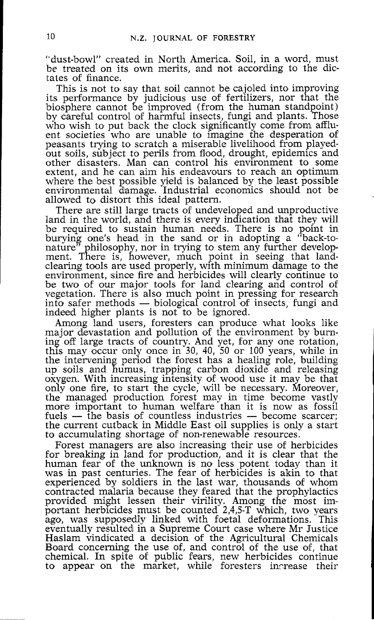"dust-bowl" created in North America. Soil, in a word, must be treated on its own merits, and not according to the dictates of finance.<br>This is not to say that soil cannot be cajoled into improving

its performance by judicious use of fertilizers, nor that the biosphere cannot be improved (from the human standpoint) by careful control of harmful insects, fungi and plants. Those who wish to put back the clock significantly come from affluent societies who are unable to imagine the desperation of peasants trying to scratch a miserable livelihood from playedout soils, subject to perils from flood, drought, epidemics and other disasters. Man can control his environment to some where the best possible yield is balanced by the least possible environmental damage. Industrial economics should not be allowed to distort this ideal pattern.

There are still large tracts **of** undeveloped and unproductive land in the world, and there is every indication that they will be required to sustain human needs. There is no point in burying one's head in the sand or in adopting a "back-tonature" philosophy, nor in trying to stem any further develop-<br>ment. There is, however, much point in seeing that landclearing tools are used properly, with minimum damage to the environment, since fire and herbicides will clearly continue to be two of our major tools for Iand clearing and control of vegetation. There is also much point in pressing for research Either methods for the safety control of the two of our major tools for land clearing and control of vegetation. There is also much point in pressing for research into safer methods — biological control of insects, fungi a into safer methods — biological control of insects, fungi and indeed higher plants is not to be ignored.

Among land users, foresters can produce what looks like major devastation and pollution of the environment by burning off large tracts of country. And yet, for any one rotation, this may occur only once in 30, 40, 50 or 100 years, while in the intervening period the forest has a healing role, building up soils and humus, trapping carbon dioxide and releasing oxygen. With increasing intensity of wood use it may be that only one fire, to start the cycle, will be necessary. Moreover, the managed production forest may in time become vastly<br>more important to human welfare than it is now as fossil<br>fuels — the basis of countless industries — become scarcer;<br>the current cuthack in Middle East oil sumlies is fuels — the basis of countless industries — become scarcer; the current cutback in Middle East oil supplies is only a start to accumulating shortage of non-renewable resources.

Forest managers are also increasing their use of herbicides for breaking in land for production, and it is clear that the human fear of the unknown is no less potent today than it was in past centuries. The fear of herbicides is akin to that experienced by soldiers in the last war, thousands of whom contracted malaria because they feared that the prophylactics provided might lessen their virility. Among the most important herbicides must be counted 2,4,5-T which, two years ago, was supposedly linked with foetal deformations. This eventually resulted in a Supreme Court case where Mr Justioe Haslam vindicated a decision of the Agricultural Chemicals Board concerning the use of, and control of the use of, that chemical. In spite of public fears, new herbicides continue to appear on the market, while foresters increase their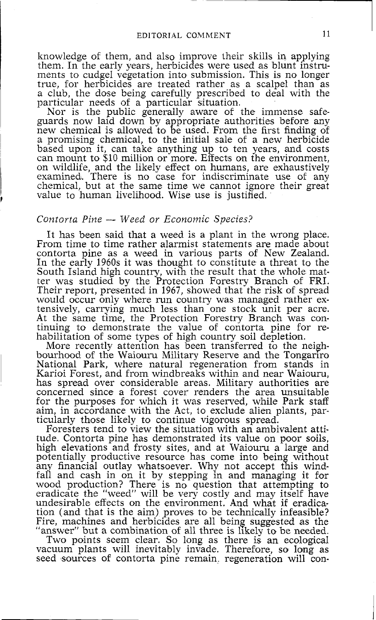knowledge of them, and also improve their skills in applying them. In the early years, herbicides were used as blunt instruments to cudgel vegetation into submission. This is no longer true, for herbicides are treated rather as a scalpel than as a club, the dose being carefully prescribed to deal with the particular needs of a particular situation.

Nor is the public generally aware of the immense safeguards now laid down by appropriate authorities before any new chemical is allowed to be used. From the first finding of a promising chemical, to the initial sale of a new herbicide based upon it, can take anything up to ten years, and costs can mount to \$10 million or more. Effects on the environment, on wildlife, and the likely effect on humans, are exhaustively examined. There is no case for indiscriminate use of any chemical, but at the same time we cannot ignore their great value to human livelihood. Wise use is justified.

## *Contorta Pine* - *Weed or Econornic Species?*

It has been said that a weed is a plant in the wrong place. From time to time rather alarmist statements are made about contorta pine as a weed in various parts of New Zealand. In the early 1960s it was thought to constitute a threat to the South Island high country, with the result that the whole matter was studied by the Protection Forestry Branch of FRI. Their report, presented in 1967, showed that the risk of spread would occur only where run country was managed rather extensively, carrying much less than one stock unit per acre. At the same time, the Protection Forestry Branch was continuing to demonstrate the value of contorta pine for rehabilitation of some types of high country soil depletion.

More recently attention has been transferred to the neighbourhood of the Waiouru Military Reserve and the Tongariro<br>National Park, where natural regeneration from stands in Karioi Forest, and from windbreaks within and near Waiouru, has spread over considerable areas. Military authorities are concerned since a forest cover renders the area unsuitable for the purposes for which it was reserved, while Park staff aim, in accordance with the Act, to exclude alien plants, paraim, in accordance with the Act, to exclude alien plants, par- ticularly those likely to continue vigorous spread. Foresters tend to view the situation with an ambivalent atti-

tude. Contorta pine has demonstrated its value on poor soils, high elevations and frosty sites, and at Waiouru a large and potentially productive resource has come into being without any financial outlay whatsoever. Why not accept this windfall and cash in on it by stepping in and managing it for wood production? There is no question that attempting to eradicate the "weed" will be very costly and may itself have undesirable effects on the environment. And what if eradication (and that is the aim) proves to be technically infeasible? Fire, machines and herbicides are all being suggested as the "answer" but a combination of all three is likely to be needed.

Two points seem clear. So long as there is an ecological vacuum plants will inevitably invade. Therefore, so long as seed sources of contorta pine remain. regeneration will con